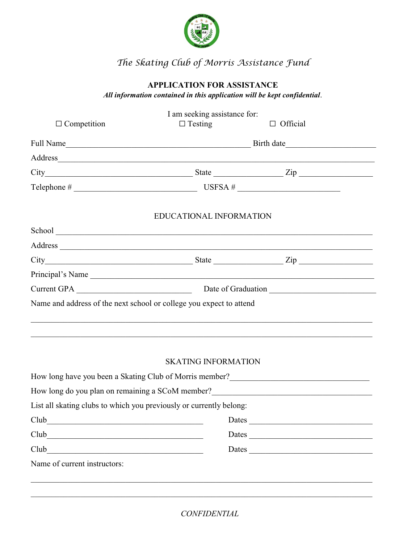

# *The Skating Club of Morris Assistance Fund*

# **APPLICATION FOR ASSISTANCE**

*All information contained in this application will be kept confidential*.

|                                                                                                                                                                          | I am seeking assistance for: |                 |  |
|--------------------------------------------------------------------------------------------------------------------------------------------------------------------------|------------------------------|-----------------|--|
| $\Box$ Competition                                                                                                                                                       | $\Box$ Testing               | $\Box$ Official |  |
|                                                                                                                                                                          |                              |                 |  |
|                                                                                                                                                                          |                              |                 |  |
|                                                                                                                                                                          |                              |                 |  |
|                                                                                                                                                                          |                              |                 |  |
|                                                                                                                                                                          | EDUCATIONAL INFORMATION      |                 |  |
|                                                                                                                                                                          |                              |                 |  |
|                                                                                                                                                                          |                              |                 |  |
| $City$ $Zip$ $Step$ $Type$                                                                                                                                               |                              |                 |  |
| Principal's Name                                                                                                                                                         |                              |                 |  |
|                                                                                                                                                                          |                              |                 |  |
| Name and address of the next school or college you expect to attend                                                                                                      |                              |                 |  |
|                                                                                                                                                                          |                              |                 |  |
|                                                                                                                                                                          |                              |                 |  |
|                                                                                                                                                                          | <b>SKATING INFORMATION</b>   |                 |  |
| How long have you been a Skating Club of Morris member?<br>1920 - The Morris Manuel Alexander Annual Manuel Alexander Annual Manuel Alexander Annual Manuel Alexander Al |                              |                 |  |
| How long do you plan on remaining a SCoM member?<br><u>Low long do you plan on remaining a SCoM member?</u>                                                              |                              |                 |  |
| List all skating clubs to which you previously or currently belong:                                                                                                      |                              |                 |  |
| $Club$ <sub>___</sub><br><u> 1980 - Jan Samuel Barbara, martin da shekara tsara 1980 - An tsara 1980 - An tsara 1980 - An tsara 1980 - An</u>                            |                              | Dates           |  |
| Club                                                                                                                                                                     |                              | Dates           |  |
| Club                                                                                                                                                                     |                              | Dates           |  |
|                                                                                                                                                                          |                              |                 |  |

*CONFIDENTIAL*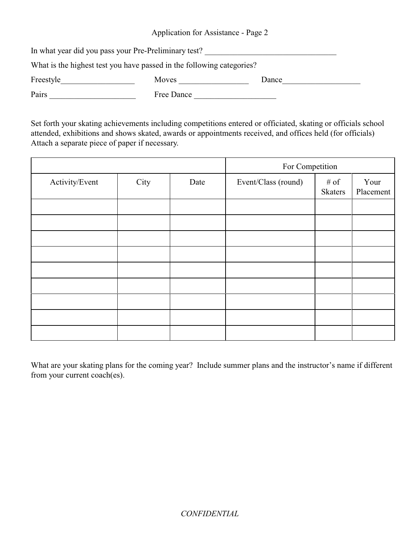Application for Assistance - Page 2

| In what year did you pass your Pre-Preliminary test?                  |            |       |
|-----------------------------------------------------------------------|------------|-------|
| What is the highest test you have passed in the following categories? |            |       |
| Freestyle                                                             | Moves      | Dance |
| Pairs                                                                 | Free Dance |       |

Set forth your skating achievements including competitions entered or officiated, skating or officials school attended, exhibitions and shows skated, awards or appointments received, and offices held (for officials) Attach a separate piece of paper if necessary.

|                |      | For Competition |                     |                        |                   |
|----------------|------|-----------------|---------------------|------------------------|-------------------|
| Activity/Event | City | Date            | Event/Class (round) | # of<br><b>Skaters</b> | Your<br>Placement |
|                |      |                 |                     |                        |                   |
|                |      |                 |                     |                        |                   |
|                |      |                 |                     |                        |                   |
|                |      |                 |                     |                        |                   |
|                |      |                 |                     |                        |                   |
|                |      |                 |                     |                        |                   |
|                |      |                 |                     |                        |                   |
|                |      |                 |                     |                        |                   |
|                |      |                 |                     |                        |                   |

What are your skating plans for the coming year? Include summer plans and the instructor's name if different from your current coach(es).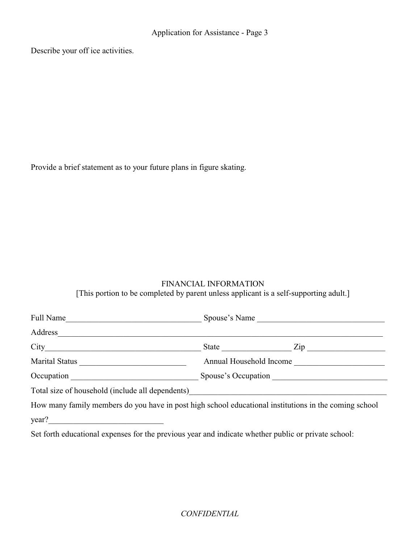Describe your off ice activities.

Provide a brief statement as to your future plans in figure skating.

## FINANCIAL INFORMATION

[This portion to be completed by parent unless applicant is a self-supporting adult.]

| Full Name                                                                                             | Spouse's Name           |                           |
|-------------------------------------------------------------------------------------------------------|-------------------------|---------------------------|
| Address                                                                                               |                         |                           |
|                                                                                                       |                         | State $\frac{Zip}{\cdot}$ |
|                                                                                                       | Annual Household Income |                           |
|                                                                                                       |                         |                           |
| Total size of household (include all dependents) ________________________________                     |                         |                           |
| How many family members do you have in post high school educational institutions in the coming school |                         |                           |
| year?<br><u> 1980 - Johann Stoff, Amerikaansk politiker (</u>                                         |                         |                           |

Set forth educational expenses for the previous year and indicate whether public or private school: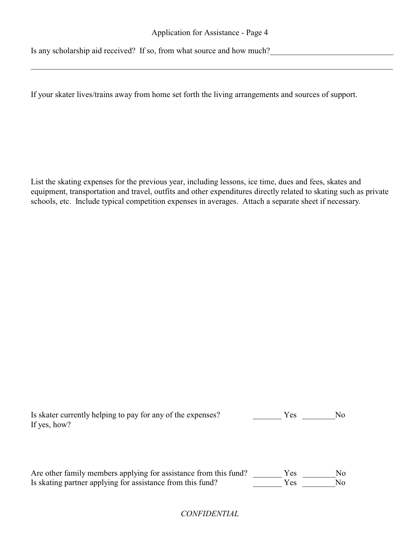#### Application for Assistance - Page 4

\_\_\_\_\_\_\_\_\_\_\_\_\_\_\_\_\_\_\_\_\_\_\_\_\_\_\_\_\_\_\_\_\_\_\_\_\_\_\_\_\_\_\_\_\_\_\_\_\_\_\_\_\_\_\_\_\_\_\_\_\_\_\_\_\_\_\_\_\_\_\_\_\_\_\_\_\_\_\_\_\_\_\_\_\_\_\_\_

Is any scholarship aid received? If so, from what source and how much?

If your skater lives/trains away from home set forth the living arrangements and sources of support.

List the skating expenses for the previous year, including lessons, ice time, dues and fees, skates and equipment, transportation and travel, outfits and other expenditures directly related to skating such as private schools, etc. Include typical competition expenses in averages. Attach a separate sheet if necessary.

| Is skater currently helping to pay for any of the expenses? | Y es | No. |
|-------------------------------------------------------------|------|-----|
| If yes, how?                                                |      |     |

Are other family members applying for assistance from this fund? \_\_\_\_\_\_\_\_\_ Yes \_\_\_\_\_\_\_\_\_No Is skating partner applying for assistance from this fund? Yes No

## *CONFIDENTIAL*